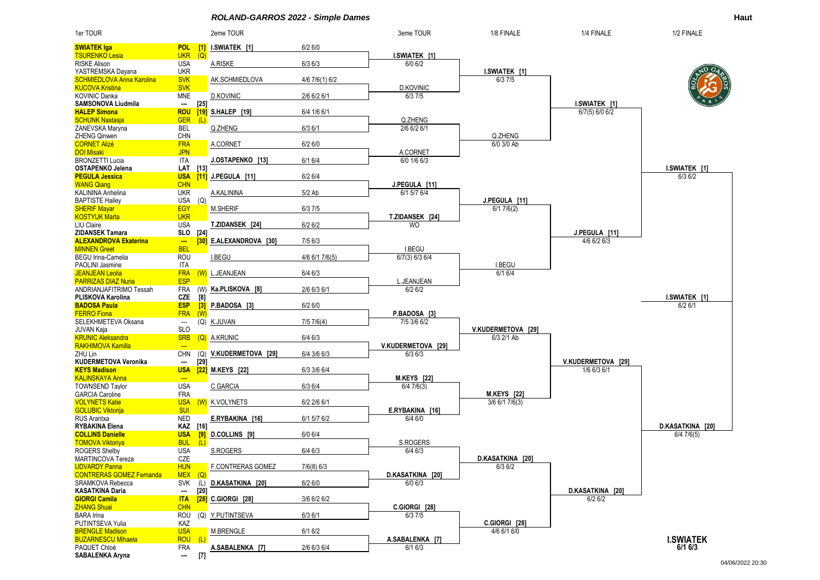*ROLAND-GARROS 2022 - Simple Dames* **Haut**



04/06/2022 20:30